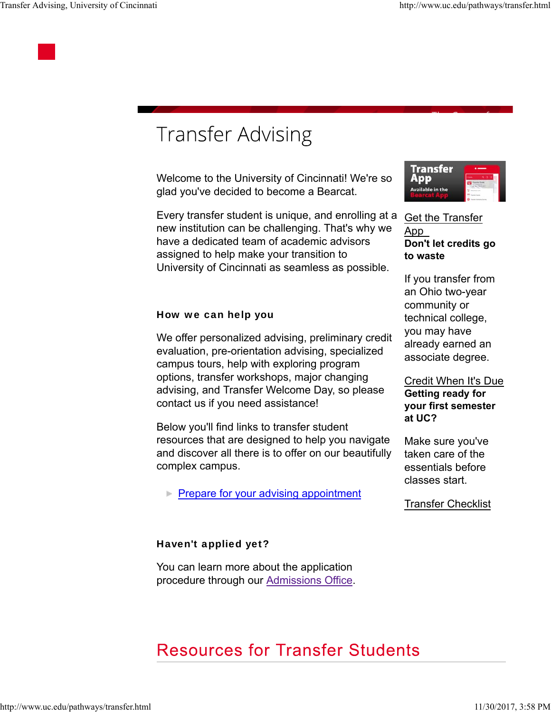

## **Transfer Advising**

Welcome to the University of Cincinnati! We're so glad you've decided to become a Bearcat.

Every transfer student is unique, and enrolling at a new institution can be challenging. That's why we have a dedicated team of academic advisors assigned to help make your transition to University of Cincinnati as seamless as possible.



We offer personalized advising, preliminary credit evaluation, pre-orientation advising, specialized campus tours, help with exploring program options, transfer workshops, major changing advising, and Transfer Welcome Day, so please contact us if you need assistance!

Below you'll find links to transfer student resources that are designed to help you navigate and discover all there is to offer on our beautifully complex campus.

**Prepare for your advising appointment** 

#### Haven't applied yet?

You can learn more about the application procedure through our Admissions Office.



#### Get the Transfer App **Don't let credits go to waste**

If you transfer from an Ohio two-year community or technical college, you may have already earned an associate degree.

#### Credit When It's Due **Getting ready for your first semester at UC?**

Make sure you've taken care of the essentials before classes start.

Transfer Checklist

### **Resources for Transfer Students**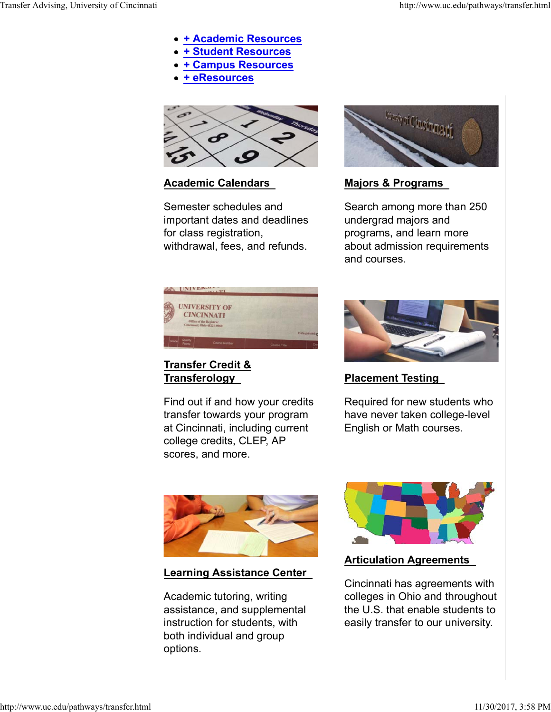- **+ Academic Resources**
- **+ Student Resources**
- **+ Campus Resources**
- **+ eResources**



#### **Academic Calendars**

Semester schedules and important dates and deadlines for class registration, withdrawal, fees, and refunds.



#### **Majors & Programs**

Search among more than 250 undergrad majors and programs, and learn more about admission requirements and courses.

| <b>OVA UNIVERS</b>         | T                                                                                                   |              |                 |
|----------------------------|-----------------------------------------------------------------------------------------------------|--------------|-----------------|
|                            | <b>UNIVERSITY OF</b><br><b>CINCINNATI</b><br>Office of the Registrar<br>Cincinnati, Ohio 45221-0060 |              |                 |
|                            |                                                                                                     |              | Date printed: 0 |
| Quality<br>Grade<br>Points | Course Number                                                                                       | Course Title | Сn              |

#### **Transfer Credit & Transferology**

Find out if and how your credits transfer towards your program at Cincinnati, including current college credits, CLEP, AP scores, and more.



**Placement Testing**

Required for new students who have never taken college-level English or Math courses.



**Learning Assistance Center**

Academic tutoring, writing assistance, and supplemental instruction for students, with both individual and group options.



#### **Articulation Agreements**

Cincinnati has agreements with colleges in Ohio and throughout the U.S. that enable students to easily transfer to our university.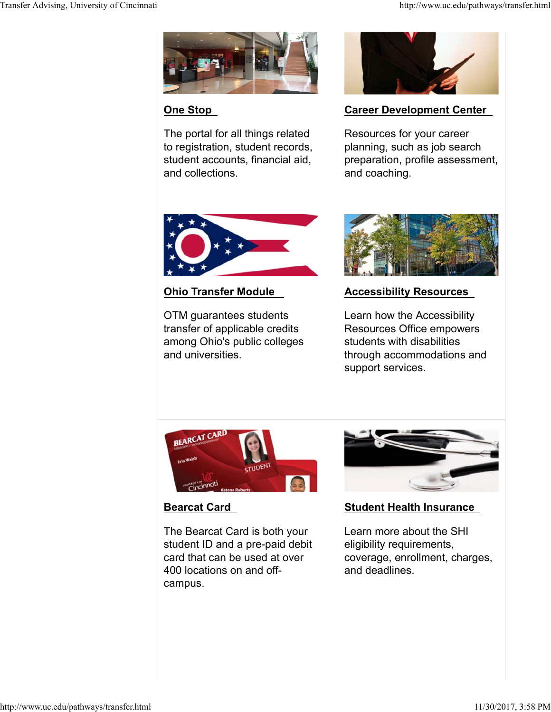

#### **One Stop**

The portal for all things related to registration, student records, student accounts, financial aid, and collections.



#### **Career Development Center**

Resources for your career planning, such as job search preparation, profile assessment, and coaching.



#### **Ohio Transfer Module**

OTM guarantees students transfer of applicable credits among Ohio's public colleges and universities.



#### **Accessibility Resources**

Learn how the Accessibility Resources Office empowers students with disabilities through accommodations and support services.



#### **Bearcat Card**

The Bearcat Card is both your student ID and a pre-paid debit card that can be used at over 400 locations on and offcampus.



#### **Student Health Insurance**

Learn more about the SHI eligibility requirements, coverage, enrollment, charges, and deadlines.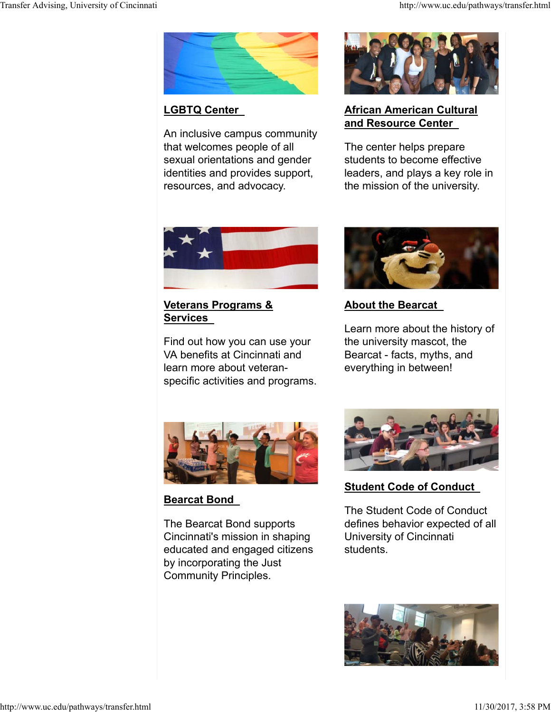

#### **LGBTQ Center**

An inclusive campus community that welcomes people of all sexual orientations and gender identities and provides support, resources, and advocacy.



#### **African American Cultural and Resource Center**

The center helps prepare students to become effective leaders, and plays a key role in the mission of the university.



#### **Veterans Programs & Services**

Find out how you can use your VA benefits at Cincinnati and learn more about veteranspecific activities and programs.



#### **About the Bearcat**

Learn more about the history of the university mascot, the Bearcat - facts, myths, and everything in between!



#### **Bearcat Bond**

The Bearcat Bond supports Cincinnati's mission in shaping educated and engaged citizens by incorporating the Just Community Principles.



#### **Student Code of Conduct**

The Student Code of Conduct defines behavior expected of all University of Cincinnati students.

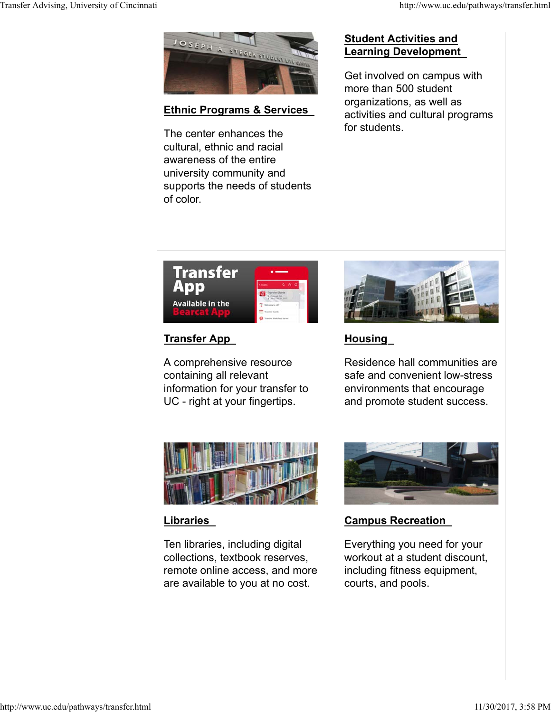

#### **Ethnic Programs & Services**

The center enhances the cultural, ethnic and racial awareness of the entire university community and supports the needs of students of color.

#### **Student Activities and Learning Development**

Get involved on campus with more than 500 student organizations, as well as activities and cultural programs for students.



#### **Transfer App**

A comprehensive resource containing all relevant information for your transfer to UC - right at your fingertips.



#### **Housing**

Residence hall communities are safe and convenient low-stress environments that encourage and promote student success.



#### **Libraries**

Ten libraries, including digital collections, textbook reserves, remote online access, and more are available to you at no cost.



#### **Campus Recreation**

Everything you need for your workout at a student discount, including fitness equipment, courts, and pools.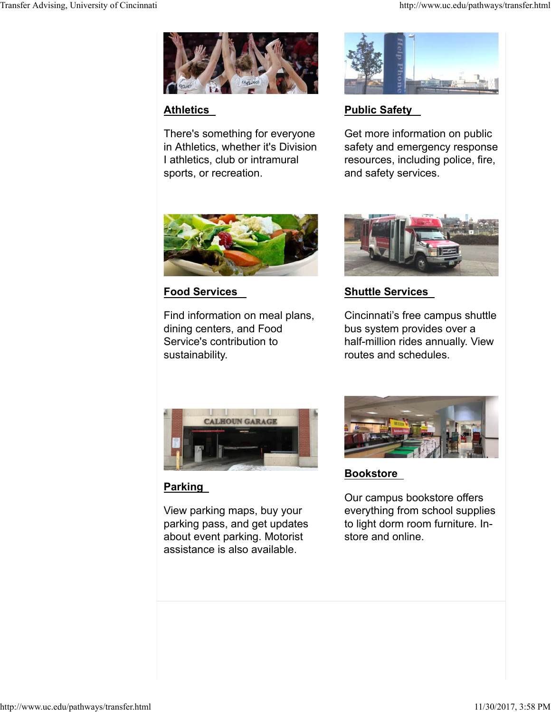

#### **Athletics**

There's something for everyone in Athletics, whether it's Division I athletics, club or intramural sports, or recreation.



#### **Public Safety**

Get more information on public safety and emergency response resources, including police, fire, and safety services.



#### **Food Services**

Find information on meal plans, dining centers, and Food Service's contribution to sustainability.



#### **Shuttle Services**

Cincinnati's free campus shuttle bus system provides over a half-million rides annually. View routes and schedules.



#### **Parking**

View parking maps, buy your parking pass, and get updates about event parking. Motorist assistance is also available.



#### **Bookstore**

Our campus bookstore offers everything from school supplies to light dorm room furniture. Instore and online.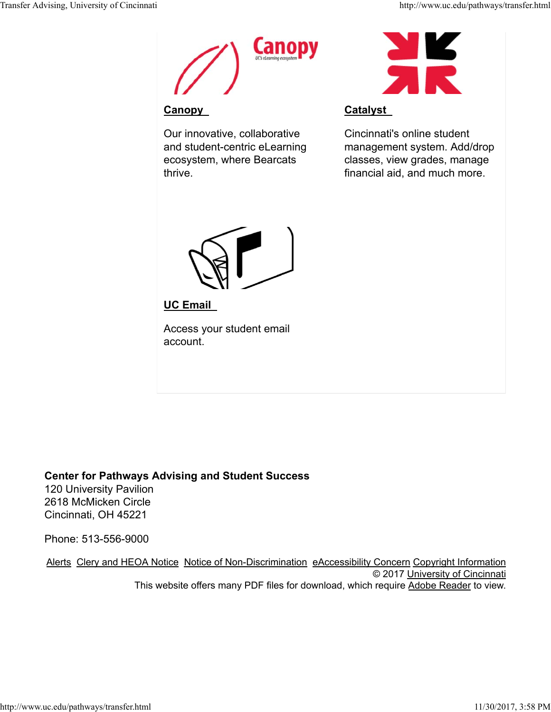

#### **Canopy**

Our innovative, collaborative and student-centric eLearning ecosystem, where Bearcats thrive.



#### **Catalyst**

Cincinnati's online student management system. Add/drop classes, view grades, manage financial aid, and much more.



**UC Email**

Access your student email account.

#### **Center for Pathways Advising and Student Success**

120 University Pavilion 2618 McMicken Circle Cincinnati, OH 45221

Phone: 513-556-9000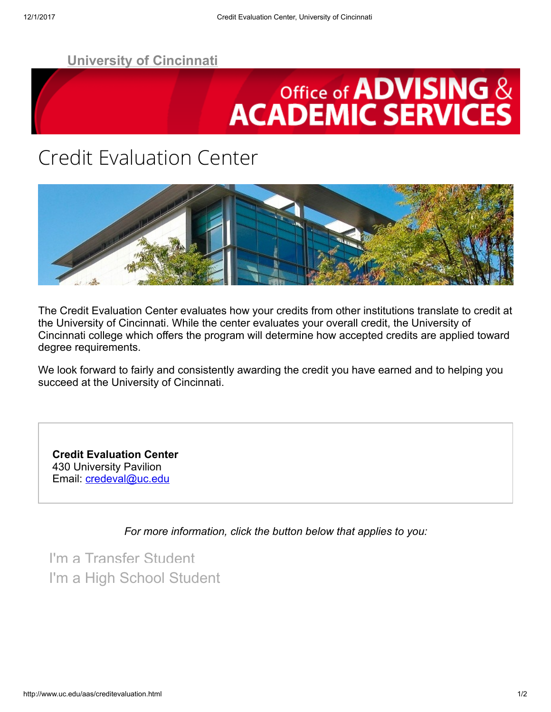# **Office of ADVISING & ACADEMIC SERVICES**

### Credit Evaluation Center



The Credit Evaluation Center evaluates how your credits from other institutions translate to credit at the University of Cincinnati. While the center evaluates your overall credit, the University of Cincinnati college which offers the program will determine how accepted credits are applied toward degree requirements.

We look forward to fairly and consistently awarding the credit you have earned and to helping you succeed at the University of Cincinnati.

Credit Evaluation Center 430 University Pavilion Email: *[credeval@uc.edu](mailto:credeval@uc.edu)* 

For more information, click the button below that applies to you:

[I'm a Transfer Student](http://uc.edu/aas/creditevaluation/transfer.html)  [I'm a High School Student](http://uc.edu/aas/creditevaluation/highschool.html)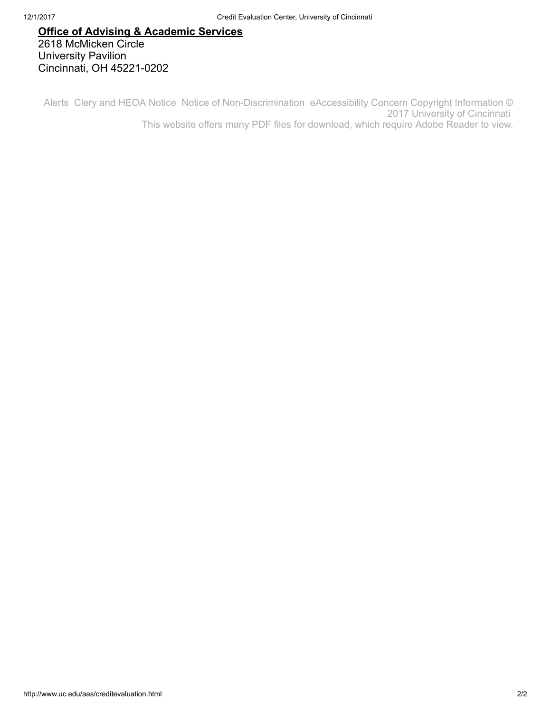#### [Office of Advising & Academic Services](mailto:advhelp@ucmail.uc.edu) 2618 McMicken Circle University Pavilion Cincinnati, OH 45221-0202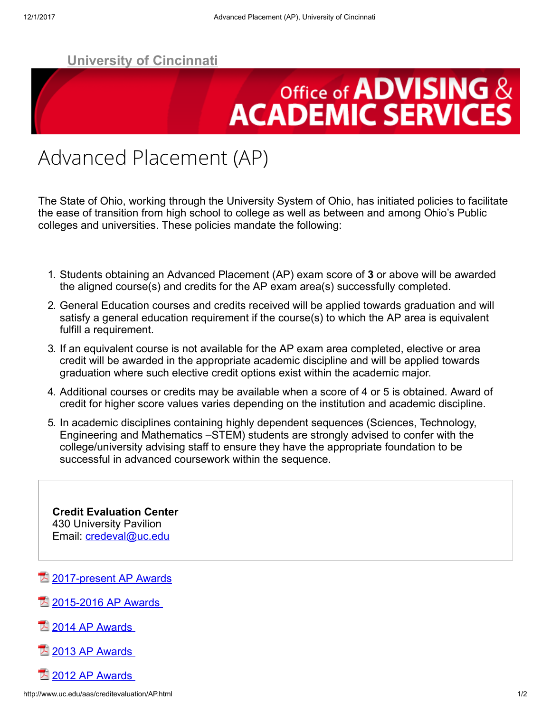## Office of **ADVISING** & **ACADEMIC SERVICES**

## Advanced Placement (AP)

The State of Ohio, working through the University System of Ohio, has initiated policies to facilitate the ease of transition from high school to college as well as between and among Ohio's Public colleges and universities. These policies mandate the following:

- 1. Students obtaining an Advanced Placement (AP) exam score of 3 or above will be awarded the aligned course(s) and credits for the AP exam area(s) successfully completed.
- 2. General Education courses and credits received will be applied towards graduation and will satisfy a general education requirement if the course(s) to which the AP area is equivalent fulfill a requirement.
- 3. If an equivalent course is not available for the AP exam area completed, elective or area credit will be awarded in the appropriate academic discipline and will be applied towards graduation where such elective credit options exist within the academic major.
- 4. Additional courses or credits may be available when a score of 4 or 5 is obtained. Award of credit for higher score values varies depending on the institution and academic discipline.
- 5. In academic disciplines containing highly dependent sequences (Sciences, Technology, Engineering and Mathematics –STEM) students are strongly advised to confer with the college/university advising staff to ensure they have the appropriate foundation to be successful in advanced coursework within the sequence.

Credit Evaluation Center 430 University Pavilion Email: [credeval@uc.edu](mailto:credeval@uc.edu)

[2017-present AP Awards](http://www.uc.edu/content/dam/uc/aas/docs/CredEval/UC%20AP%20Key%202017-Present.pdf)

- 2015-2016 AP Awards
- $2014$  AP Awards
- [2013 AP Awards](http://www.uc.edu/content/dam/admissions/docs/AP_Key_13-14_web.pdf)
- $\overline{2}$  2012 AP Awards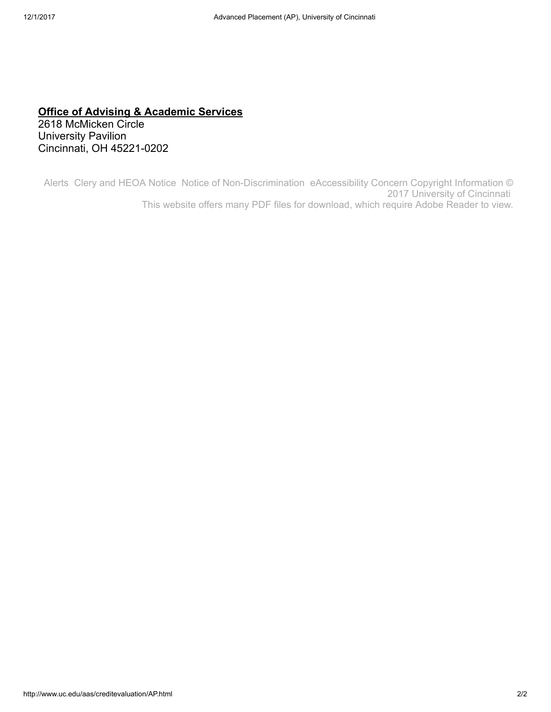#### [Office of Advising & Academic Services](mailto:advhelp@ucmail.uc.edu)

2618 McMicken Circle University Pavilion Cincinnati, OH 45221-0202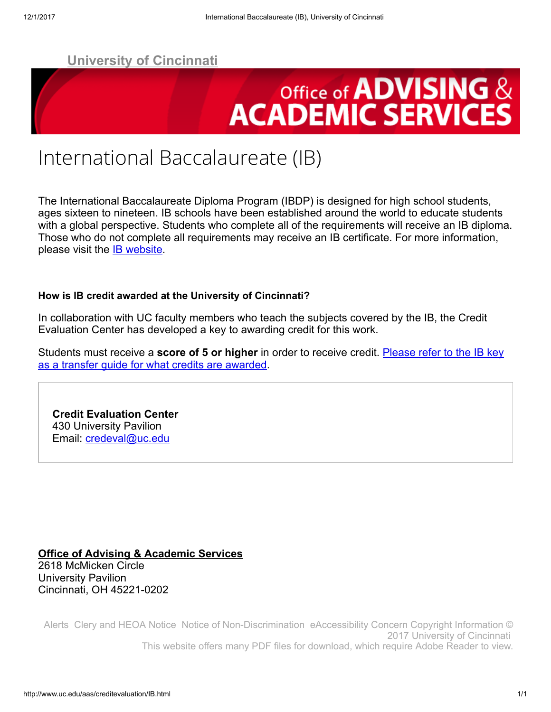# **Office of ADVISING & ACADEMIC SERVICES**

### International Baccalaureate (IB)

The International Baccalaureate Diploma Program (IBDP) is designed for high school students, ages sixteen to nineteen. IB schools have been established around the world to educate students with a global perspective. Students who complete all of the requirements will receive an IB diploma. Those who do not complete all requirements may receive an IB certificate. For more information, please visit the **IB website**.

#### How is IB credit awarded at the University of Cincinnati?

In collaboration with UC faculty members who teach the subjects covered by the IB, the Credit Evaluation Center has developed a key to awarding credit for this work.

Students must receive a **score of 5 or higher** [in order to receive credit. Please refer to the IB key](http://www.uc.edu/content/dam/uc/aas/docs/CredEval/IB%20Key%202015%20-%20Present%203-13-17.pdf) as a transfer guide for what credits are awarded.

Credit Evaluation Center 430 University Pavilion Email: *[credeval@uc.edu](mailto:credeval@uc.edu)* 

[Office of Advising & Academic Services](mailto:advhelp@ucmail.uc.edu) 2618 McMicken Circle University Pavilion Cincinnati, OH 45221-0202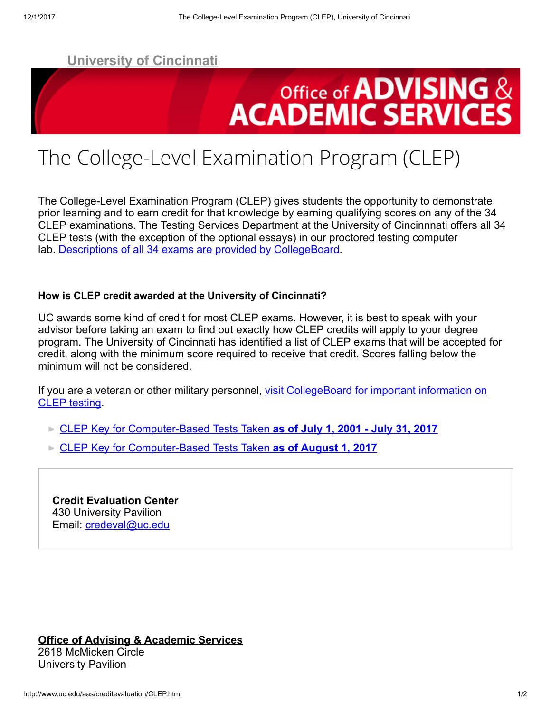

## The College-Level Examination Program (CLEP)

The College-Level Examination Program (CLEP) gives students the opportunity to demonstrate prior learning and to earn credit for that knowledge by earning qualifying scores on any of the 34 CLEP examinations. The Testing Services Department at the University of Cincinnnati offers all 34 CLEP tests (with the exception of the optional essays) in our proctored testing computer lab. [Descriptions of all 34 exams are provided by CollegeBoard](http://www.collegeboard.com/student/testing/clep/exams.html).

#### How is CLEP credit awarded at the University of Cincinnati?

UC awards some kind of credit for most CLEP exams. However, it is best to speak with your advisor before taking an exam to find out exactly how CLEP credits will apply to your degree program. The University of Cincinnati has identified a list of CLEP exams that will be accepted for credit, along with the minimum score required to receive that credit. Scores falling below the minimum will not be considered.

[If you are a veteran or other military personnel, visit CollegeBoard for important information on](http://www.collegeboard.com/student/testing/clep/military.html) CLEP testing.

- [CLEP Key for Computer-Based Tests Taken](http://www.uc.edu/content/dam/uc/aas/docs/CredEval/CLEP%20Key%20Computer-Based%20Semesters%207-1-2001%20thru%207-31-2017.pdf) as of July 1, 2001 July 31, 2017
- [CLEP Key for Computer-Based Tests Taken](http://www.uc.edu/content/dam/uc/aas/docs/CredEval/CLEP%20Key%20Computer-Based%20Semesters%2008-01-2017.pdf) as of August 1, 2017

Credit Evaluation Center 430 University Pavilion Email: *[credeval@uc.edu](mailto:credeval@uc.edu)* 

[Office of Advising & Academic Services](mailto:advhelp@ucmail.uc.edu) 2618 McMicken Circle University Pavilion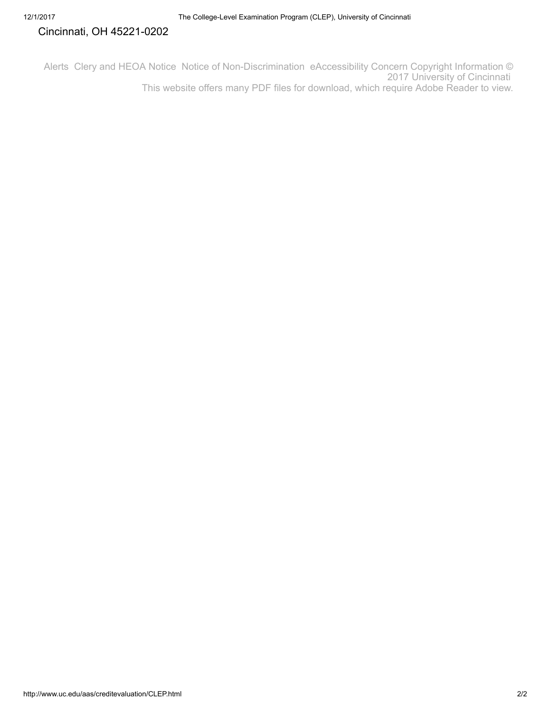#### Cincinnati, OH 45221-0202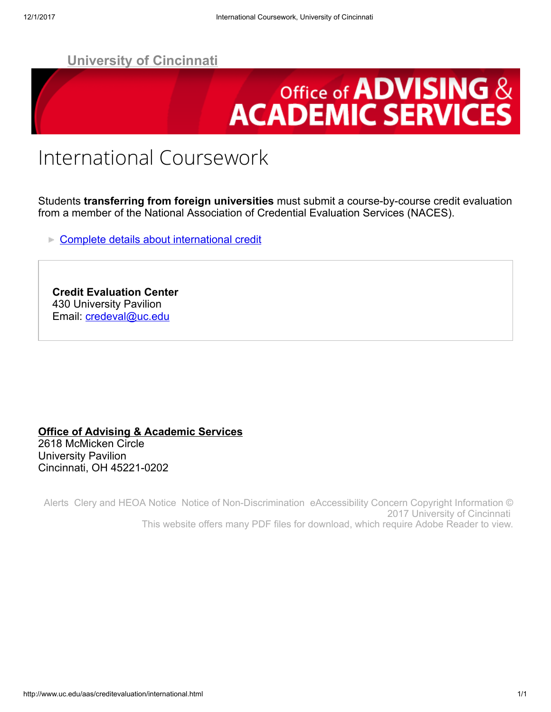

## International Coursework

Students transferring from foreign universities must submit a course-by-course credit evaluation from a member of the National Association of Credential Evaluation Services (NACES).

**[Complete details about international credit](http://admissions.uc.edu/international/requirements.html)** 

Credit Evaluation Center 430 University Pavilion Email: *[credeval@uc.edu](mailto:credeval@uc.edu)* 

#### [Office of Advising & Academic Services](mailto:advhelp@ucmail.uc.edu) 2618 McMicken Circle University Pavilion Cincinnati, OH 45221-0202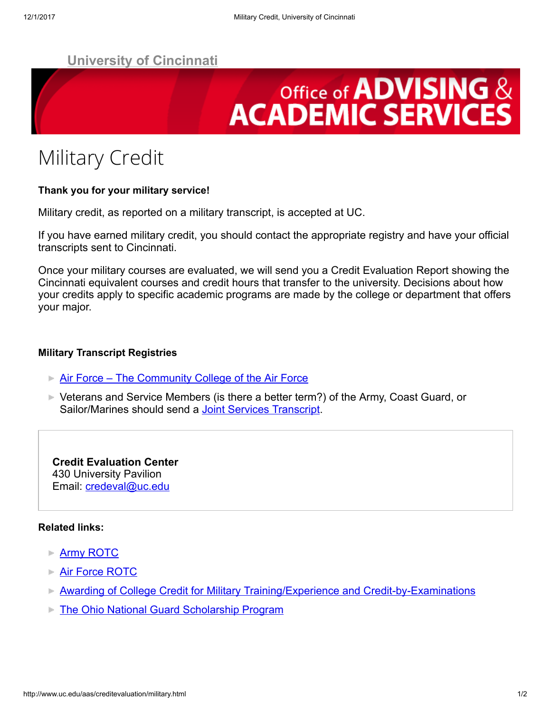# **Office of ADVISING & ACADEMIC SERVICES**

## Military Credit

#### Thank you for your military service!

Military credit, as reported on a military transcript, is accepted at UC.

If you have earned military credit, you should contact the appropriate registry and have your official transcripts sent to Cincinnati.

Once your military courses are evaluated, we will send you a Credit Evaluation Report showing the Cincinnati equivalent courses and credit hours that transfer to the university. Decisions about how your credits apply to specific academic programs are made by the college or department that offers your major.

#### Military Transcript Registries

- **[Air Force The Community College of the Air Force](http://www.airuniversity.af.mil/Barnes/CCAF/)**
- ► Veterans and Service Members (is there a better term?) of the Army, Coast Guard, or Sailor/Marines should send a **[Joint Services Transcript](https://www2.acenet.edu/credit/?fuseaction=transcripts.main)**.

Credit Evaluation Center 430 University Pavilion Email: [credeval@uc.edu](mailto:credeval@uc.edu)

#### Related links:

- **[Army ROTC](http://www.uc.edu/armyrotc/)**
- **[Air Force ROTC](http://www.uc.edu/afrotc/)**
- **[Awarding of College Credit for Military Training/Experience and Credit-by-Examinations](http://regents.ohio.gov/transfer/military-credit/index.php)**
- **[The Ohio National Guard Scholarship Program](http://www.ong.ohio.gov/scholarship_index.html)**